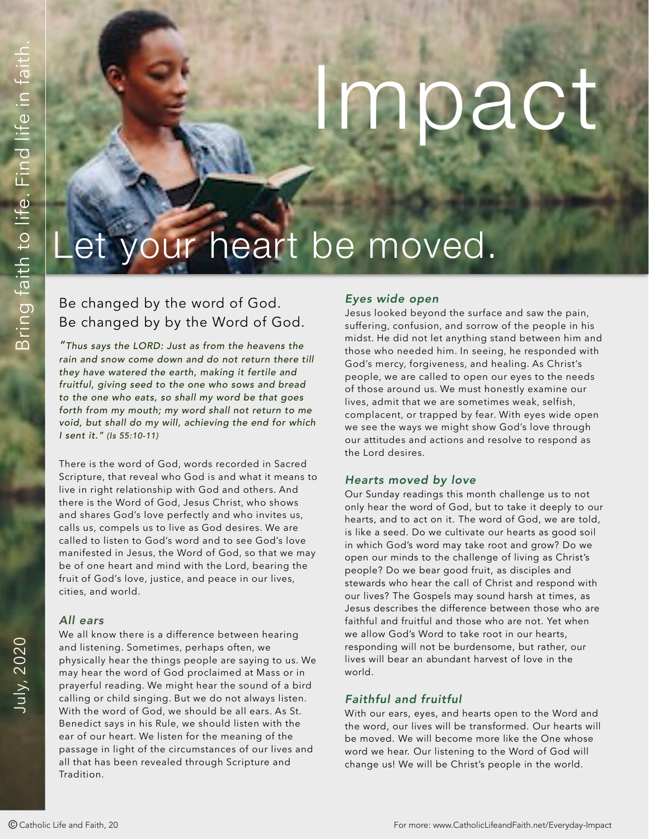# Dact

# et your heart be moved.

# Be changed by the word of God. Be changed by by the Word of God.

*"Thus says the LORD: Just as from the heavens the rain and snow come down and do not return there till they have watered the earth, making it fertile and fruitful, giving seed to the one who sows and bread to the one who eats, so shall my word be that goes forth from my mouth; my word shall not return to me void, but shall do my will, achieving the end for which I sent it." (Is 55:10-11)*

There is the word of God, words recorded in Sacred Scripture, that reveal who God is and what it means to live in right relationship with God and others. And there is the Word of God, Jesus Christ, who shows and shares God's love perfectly and who invites us, calls us, compels us to live as God desires. We are called to listen to God's word and to see God's love manifested in Jesus, the Word of God, so that we may be of one heart and mind with the Lord, bearing the fruit of God's love, justice, and peace in our lives, cities, and world.

# *All ears*

We all know there is a difference between hearing and listening. Sometimes, perhaps often, we physically hear the things people are saying to us. We may hear the word of God proclaimed at Mass or in prayerful reading. We might hear the sound of a bird calling or child singing. But we do not always listen. With the word of God, we should be all ears. As St. Benedict says in his Rule, we should listen with the ear of our heart. We listen for the meaning of the passage in light of the circumstances of our lives and all that has been revealed through Scripture and Tradition.

# *Eyes wide open*

Jesus looked beyond the surface and saw the pain, suffering, confusion, and sorrow of the people in his midst. He did not let anything stand between him and those who needed him. In seeing, he responded with God's mercy, forgiveness, and healing. As Christ's people, we are called to open our eyes to the needs of those around us. We must honestly examine our lives, admit that we are sometimes weak, selfish, complacent, or trapped by fear. With eyes wide open we see the ways we might show God's love through our attitudes and actions and resolve to respond as the Lord desires.

# *Hearts moved by love*

OF Be changed by the word of God. Every and observed by excelled and a set the properties and set the properties of Catholic Lifesaries and the and Faith in the Catholic Lifesaries and Faithform and the and Faithform an Our Sunday readings this month challenge us to not only hear the word of God, but to take it deeply to our hearts, and to act on it. The word of God, we are told, is like a seed. Do we cultivate our hearts as good soil in which God's word may take root and grow? Do we open our minds to the challenge of living as Christ's people? Do we bear good fruit, as disciples and stewards who hear the call of Christ and respond with our lives? The Gospels may sound harsh at times, as Jesus describes the difference between those who are faithful and fruitful and those who are not. Yet when we allow God's Word to take root in our hearts, responding will not be burdensome, but rather, our lives will bear an abundant harvest of love in the world.

# *Faithful and fruitful*

With our ears, eyes, and hearts open to the Word and the word, our lives will be transformed. Our hearts will be moved. We will become more like the One whose word we hear. Our listening to the Word of God will change us! We will be Christ's people in the world.